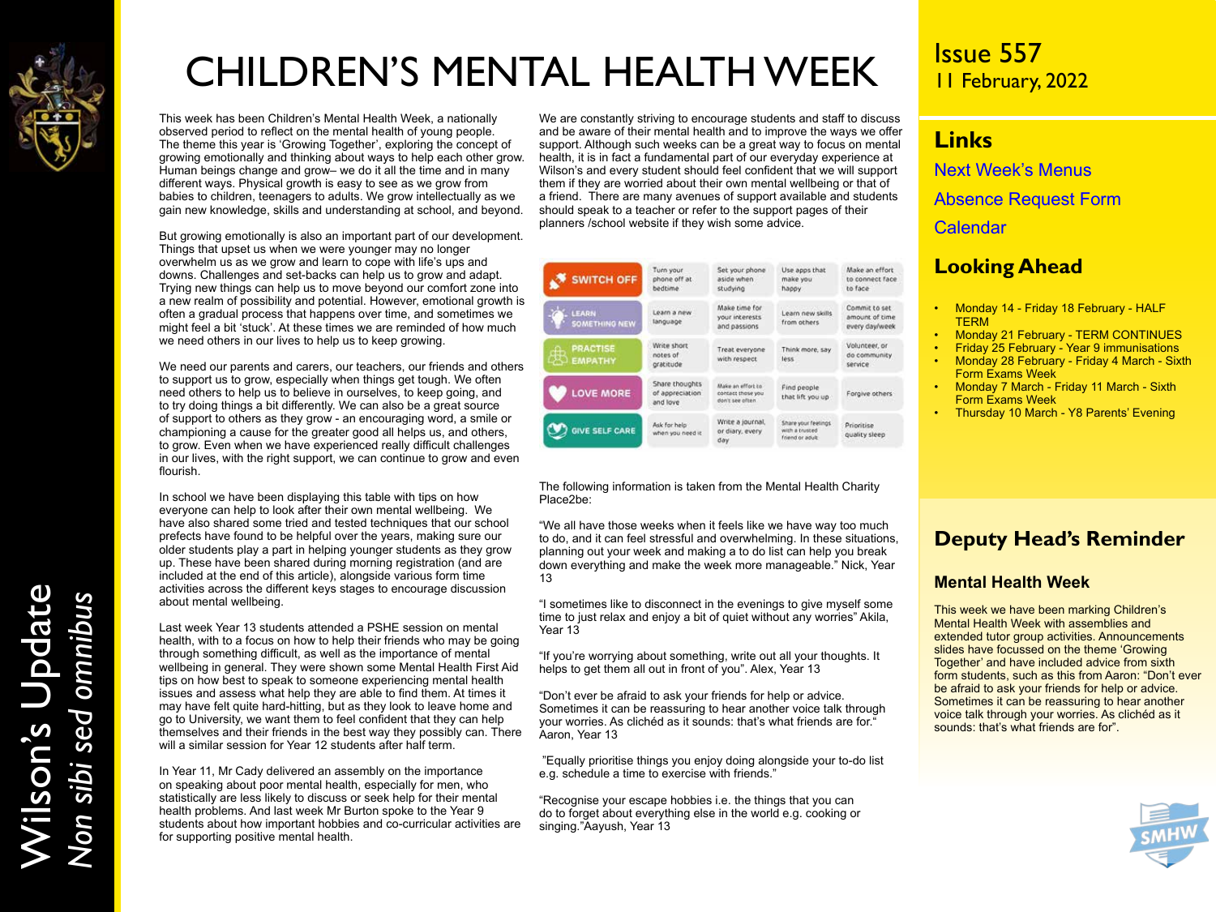

# CHILDREN'S MENTAL HEALTH WEEK

This week has been Children's Mental Health Week, a nationally observed period to reflect on the mental health of young people. The theme this year is 'Growing Together', exploring the concept of growing emotionally and thinking about ways to help each other grow. Human beings change and grow– we do it all the time and in many different ways. Physical growth is easy to see as we grow from babies to children, teenagers to adults. We grow intellectually as we gain new knowledge, skills and understanding at school, and beyond.

But growing emotionally is also an important part of our development. Things that upset us when we were younger may no longer overwhelm us as we grow and learn to cope with life's ups and downs. Challenges and set-backs can help us to grow and adapt. Trying new things can help us to move beyond our comfort zone into a new realm of possibility and potential. However, emotional growth is often a gradual process that happens over time, and sometimes we might feel a bit 'stuck'. At these times we are reminded of how much we need others in our lives to help us to keep growing.

We need our parents and carers, our teachers, our friends and others to support us to grow, especially when things get tough. We often need others to help us to believe in ourselves, to keep going, and to try doing things a bit differently. We can also be a great source of support to others as they grow - an encouraging word, a smile or championing a cause for the greater good all helps us, and others, to grow. Even when we have experienced really difficult challenges in our lives, with the right support, we can continue to grow and even flourish.

In school we have been displaying this table with tips on how everyone can help to look after their own mental wellbeing. We have also shared some tried and tested techniques that our school prefects have found to be helpful over the years, making sure our older students play a part in helping younger students as they grow up. These have been shared during morning registration (and are included at the end of this article), alongside various form time activities across the different keys stages to encourage discussion about mental wellbeing.

Last week Year 13 students attended a PSHE session on mental health, with to a focus on how to help their friends who may be going through something difficult, as well as the importance of mental wellbeing in general. They were shown some Mental Health First Aid tips on how best to speak to someone experiencing mental health issues and assess what help they are able to find them. At times it may have felt quite hard-hitting, but as they look to leave home and go to University, we want them to feel confident that they can help themselves and their friends in the best way they possibly can. There will a similar session for Year 12 students after half term.

In Year 11, Mr Cady delivered an assembly on the importance on speaking about poor mental health, especially for men, who statistically are less likely to discuss or seek help for their mental health problems. And last week Mr Burton spoke to the Year 9 students about how important hobbies and co-curricular activities are for supporting positive mental health.

We are constantly striving to encourage students and staff to discuss and be aware of their mental health and to improve the ways we offer support. Although such weeks can be a great way to focus on mental health, it is in fact a fundamental part of our everyday experience at Wilson's and every student should feel confident that we will support them if they are worried about their own mental wellbeing or that of a friend. There are many avenues of support available and students should speak to a teacher or refer to the support pages of their planners /school website if they wish some advice.

| SWITCH OFF                             | Turn your<br>phone off at<br>bedtime          | Set your phone<br>aside when<br>studying                  | Use apps that<br>make you<br>happy.                        | Make an effort<br>to connect face<br>to face      |
|----------------------------------------|-----------------------------------------------|-----------------------------------------------------------|------------------------------------------------------------|---------------------------------------------------|
| <b>LEARN</b><br>SOMETHING NEW          | Learn a new<br>language                       | Make time for<br>your interests<br>and passions           | Learn new skills<br>from others                            | Commit to set<br>amount of time<br>every day/week |
| <b>PRACTISE</b><br>ക<br><b>EMPATHY</b> | Write short<br>notes of<br>gratitude          | Treat everyone<br>with respect.                           | Think more, say<br>less                                    | Volunteer, or<br>do community.<br>service.        |
| <b>LOVE MORE</b>                       | Share thoughts<br>of appreciation<br>and love | Make an effort to<br>contact those you<br>don't see often | Find people<br>that lift you up                            | Forgive others<br><b>UKRAIN TAPPED IN</b>         |
| <b>GIVE SELF CARE</b>                  | Ask for help<br>when you need it.             | Write a journal,<br>or diary, every<br>day                | Share your feelings:<br>with a trusted<br>friend or adult. | Prioritise<br>quality sleep                       |

The following information is taken from the Mental Health Charity Place2be:

"We all have those weeks when it feels like we have way too much to do, and it can feel stressful and overwhelming. In these situations, planning out your week and making a to do list can help you break down everything and make the week more manageable." Nick, Year 13

"I sometimes like to disconnect in the evenings to give myself some time to just relax and enjoy a bit of quiet without any worries" Akila, Year 13

"If you're worrying about something, write out all your thoughts. It helps to get them all out in front of you". Alex, Year 13

"Don't ever be afraid to ask your friends for help or advice. Sometimes it can be reassuring to hear another voice talk through your worries. As clichéd as it sounds: that's what friends are for." Aaron, Year 13

 "Equally prioritise things you enjoy doing alongside your to-do list e.g. schedule a time to exercise with friends."

"Recognise your escape hobbies i.e. the things that you can do to forget about everything else in the world e.g. cooking or singing."Aayush, Year 13

### Issue 557 11 February, 2022

### **Links**

[Next Week's Menus](https://www.wilsons.school/resources/Menus.pdf)

[Absence Request Form](http://www.wilsons.school/resources/Leave-of-Absence-Form.pdf)

**[Calendar](https://www.wilsons.school/calendar/)** 

### **Looking Ahead**

- Monday 14 Friday 18 February HALF **TERM**
- Monday 21 February TERM CONTINUES
- Friday 25 February Year 9 immunisations • Monday 28 February - Friday 4 March - Sixth
- Form Exams Week • Monday 7 March - Friday 11 March - Sixth
- Form Exams Week
- Thursday 10 March Y8 Parents' Evening

### **Deputy Head's Reminder**

### **Mental Health Week**

This week we have been marking Children's Mental Health Week with assemblies and extended tutor group activities. Announcements slides have focussed on the theme 'Growing Together' and have included advice from sixth form students, such as this from Aaron: "Don't ever be afraid to ask your friends for help or advice. Sometimes it can be reassuring to hear another voice talk through your worries. As clichéd as it sounds: that's what friends are for".

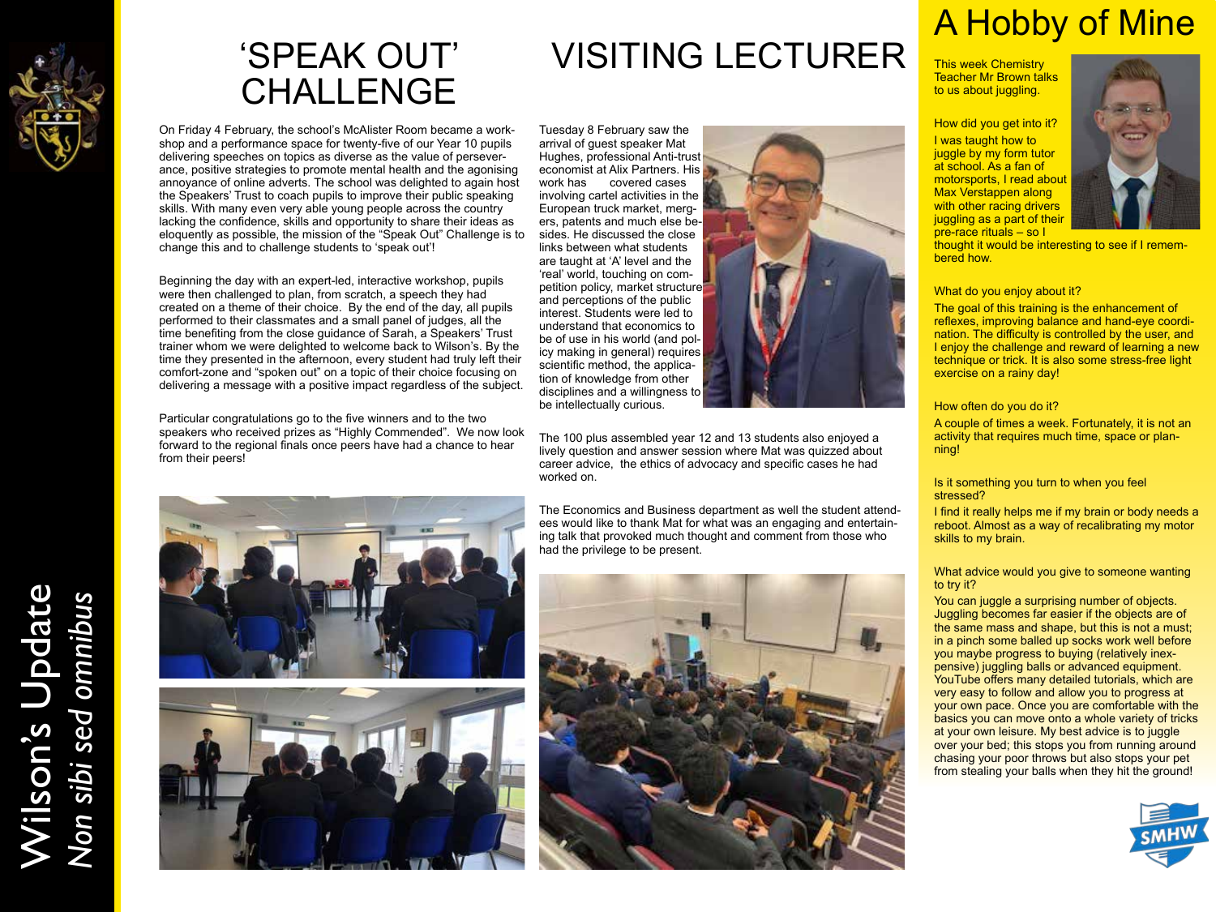

### 'SPEAK OUT' CHALLENGE

On Friday 4 February, the school's McAlister Room became a workshop and a performance space for twenty-five of our Year 10 pupils delivering speeches on topics as diverse as the value of perseverance, positive strategies to promote mental health and the agonising annoyance of online adverts. The school was delighted to again host the Speakers' Trust to coach pupils to improve their public speaking skills. With many even very able young people across the country lacking the confidence, skills and opportunity to share their ideas as eloquently as possible, the mission of the "Speak Out" Challenge is to change this and to challenge students to 'speak out'!

Beginning the day with an expert-led, interactive workshop, pupils were then challenged to plan, from scratch, a speech they had created on a theme of their choice. By the end of the day, all pupils performed to their classmates and a small panel of judges, all the time benefiting from the close guidance of Sarah, a Speakers' Trust trainer whom we were delighted to welcome back to Wilson's. By the time they presented in the afternoon, every student had truly left their comfort-zone and "spoken out" on a topic of their choice focusing on delivering a message with a positive impact regardless of the subject.

Particular congratulations go to the five winners and to the two speakers who received prizes as "Highly Commended". We now look forward to the regional finals once peers have had a chance to hear from their peers!





# VISITING LECTURER

Tuesday 8 February saw the arrival of guest speaker Mat Hughes, professional Anti-trust economist at Alix Partners. His<br>work has covered cases covered cases involving cartel activities in the European truck market, mergers, patents and much else besides. He discussed the close links between what students are taught at 'A' level and the 'real' world, touching on competition policy, market structure and perceptions of the public interest. Students were led to understand that economics to be of use in his world (and policy making in general) requires scientific method, the application of knowledge from other disciplines and a willingness to be intellectually curious.



The 100 plus assembled year 12 and 13 students also enjoyed a lively question and answer session where Mat was quizzed about career advice, the ethics of advocacy and specific cases he had worked on.

The Economics and Business department as well the student attendees would like to thank Mat for what was an engaging and entertaining talk that provoked much thought and comment from those who had the privilege to be present.



# A Hobby of Mine

This week Chemistry Teacher Mr Brown talks to us about juggling.

How did you get into it? I was taught how to juggle by my form tutor at school. As a fan of motorsports, I read about Max Verstappen along with other racing drivers juggling as a part of their pre-race rituals – so I



thought it would be interesting to see if I remembered how.

#### What do you enjoy about it?

The goal of this training is the enhancement of reflexes, improving balance and hand-eye coordination. The difficulty is controlled by the user, and I enjoy the challenge and reward of learning a new technique or trick. It is also some stress-free light exercise on a rainy day!

#### How often do you do it?

A couple of times a week. Fortunately, it is not an activity that requires much time, space or planning!

#### Is it something you turn to when you feel stressed?

I find it really helps me if my brain or body needs a reboot. Almost as a way of recalibrating my motor skills to my brain.

#### What advice would you give to someone wanting to try it?

You can juggle a surprising number of objects. Juggling becomes far easier if the objects are of the same mass and shape, but this is not a must; in a pinch some balled up socks work well before you maybe progress to buying (relatively inexpensive) juggling balls or advanced equipment. YouTube offers many detailed tutorials, which are very easy to follow and allow you to progress at your own pace. Once you are comfortable with the basics you can move onto a whole variety of tricks at your own leisure. My best advice is to juggle over your bed; this stops you from running around chasing your poor throws but also stops your pet from stealing your balls when they hit the ground!



# Wilson's Update Wilson's Update<br>Non sibi sed omnibus *Non sibi sed omnibus*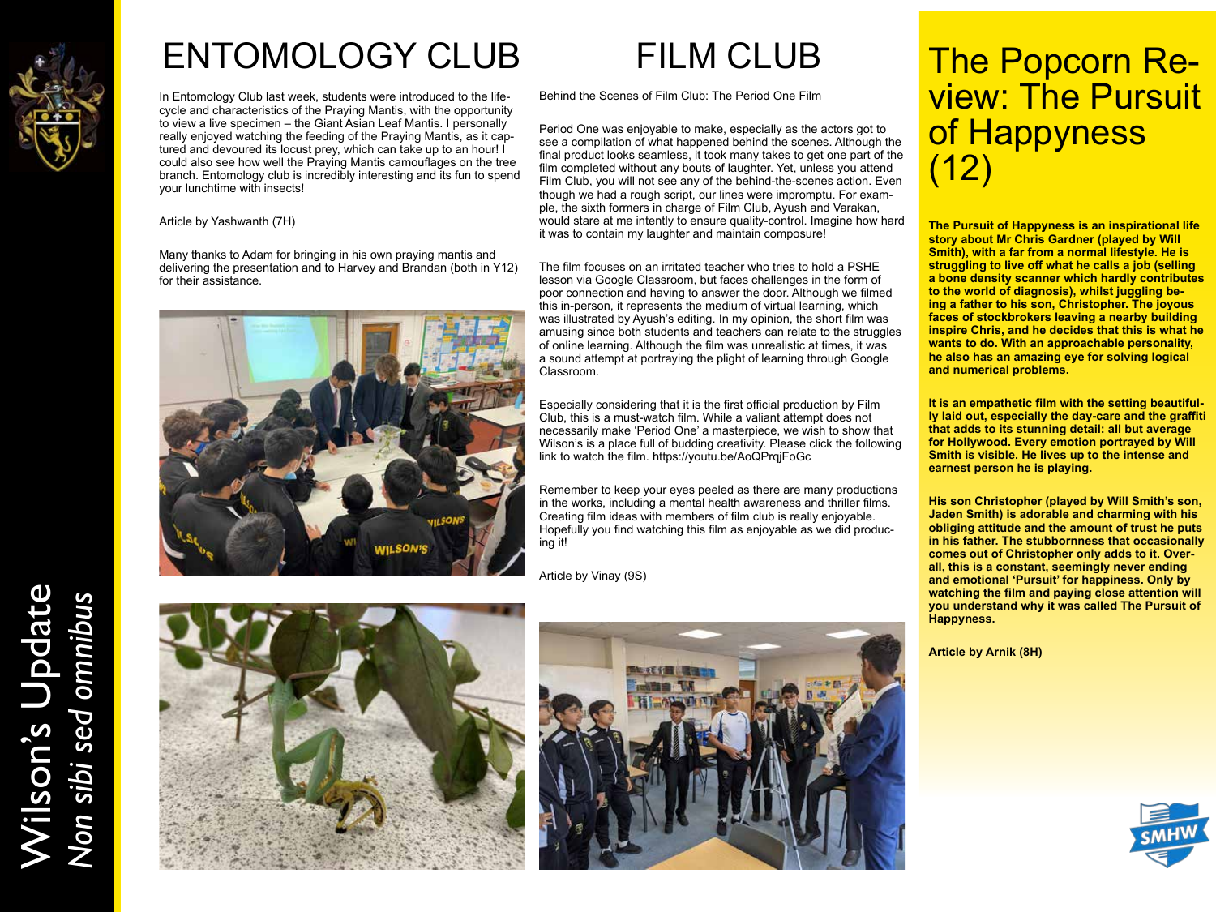

# ENTOMOLOGY CLUB

In Entomology Club last week, students were introduced to the lifecycle and characteristics of the Praying Mantis, with the opportunity to view a live specimen – the Giant Asian Leaf Mantis. I personally really enjoyed watching the feeding of the Praying Mantis, as it captured and devoured its locust prey, which can take up to an hour! I could also see how well the Praying Mantis camouflages on the tree branch. Entomology club is incredibly interesting and its fun to spend your lunchtime with insects!

Article by Yashwanth (7H)

Many thanks to Adam for bringing in his own praying mantis and delivering the presentation and to Harvey and Brandan (both in Y12) for their assistance.



Behind the Scenes of Film Club: The Period One Film

Period One was enjoyable to make, especially as the actors got to see a compilation of what happened behind the scenes. Although the final product looks seamless, it took many takes to get one part of the film completed without any bouts of laughter. Yet, unless you attend Film Club, you will not see any of the behind-the-scenes action. Even though we had a rough script, our lines were impromptu. For example, the sixth formers in charge of Film Club, Ayush and Varakan, would stare at me intently to ensure quality-control. Imagine how hard it was to contain my laughter and maintain composure!

The film focuses on an irritated teacher who tries to hold a PSHE lesson via Google Classroom, but faces challenges in the form of poor connection and having to answer the door. Although we filmed this in-person, it represents the medium of virtual learning, which was illustrated by Ayush's editing. In my opinion, the short film was amusing since both students and teachers can relate to the struggles of online learning. Although the film was unrealistic at times, it was a sound attempt at portraying the plight of learning through Google Classroom.

Especially considering that it is the first official production by Film Club, this is a must-watch film. While a valiant attempt does not necessarily make 'Period One' a masterpiece, we wish to show that Wilson's is a place full of budding creativity. Please click the following link to watch the film. https://youtu.be/AoQPrqjFoGc

Remember to keep your eyes peeled as there are many productions in the works, including a mental health awareness and thriller films. Creating film ideas with members of film club is really enjoyable. Hopefully you find watching this film as enjoyable as we did producing it!

Article by Vinay (9S)



**The Pursuit of Happyness is an inspirational life story about Mr Chris Gardner (played by Will Smith), with a far from a normal lifestyle. He is struggling to live off what he calls a job (selling a bone density scanner which hardly contributes to the world of diagnosis), whilst juggling being a father to his son, Christopher. The joyous faces of stockbrokers leaving a nearby building inspire Chris, and he decides that this is what he wants to do. With an approachable personality, he also has an amazing eye for solving logical and numerical problems.** 

**It is an empathetic film with the setting beautifully laid out, especially the day-care and the graffiti that adds to its stunning detail: all but average for Hollywood. Every emotion portrayed by Will Smith is visible. He lives up to the intense and earnest person he is playing.** 

**His son Christopher (played by Will Smith's son, Jaden Smith) is adorable and charming with his obliging attitude and the amount of trust he puts in his father. The stubbornness that occasionally comes out of Christopher only adds to it. Overall, this is a constant, seemingly never ending and emotional 'Pursuit' for happiness. Only by watching the film and paying close attention will you understand why it was called The Pursuit of Happyness.** 

**Article by Arnik (8H)**



Wilson's Update Wilson's Update<br>Non sibi sed omnibus *Non sibi sed omnibus*



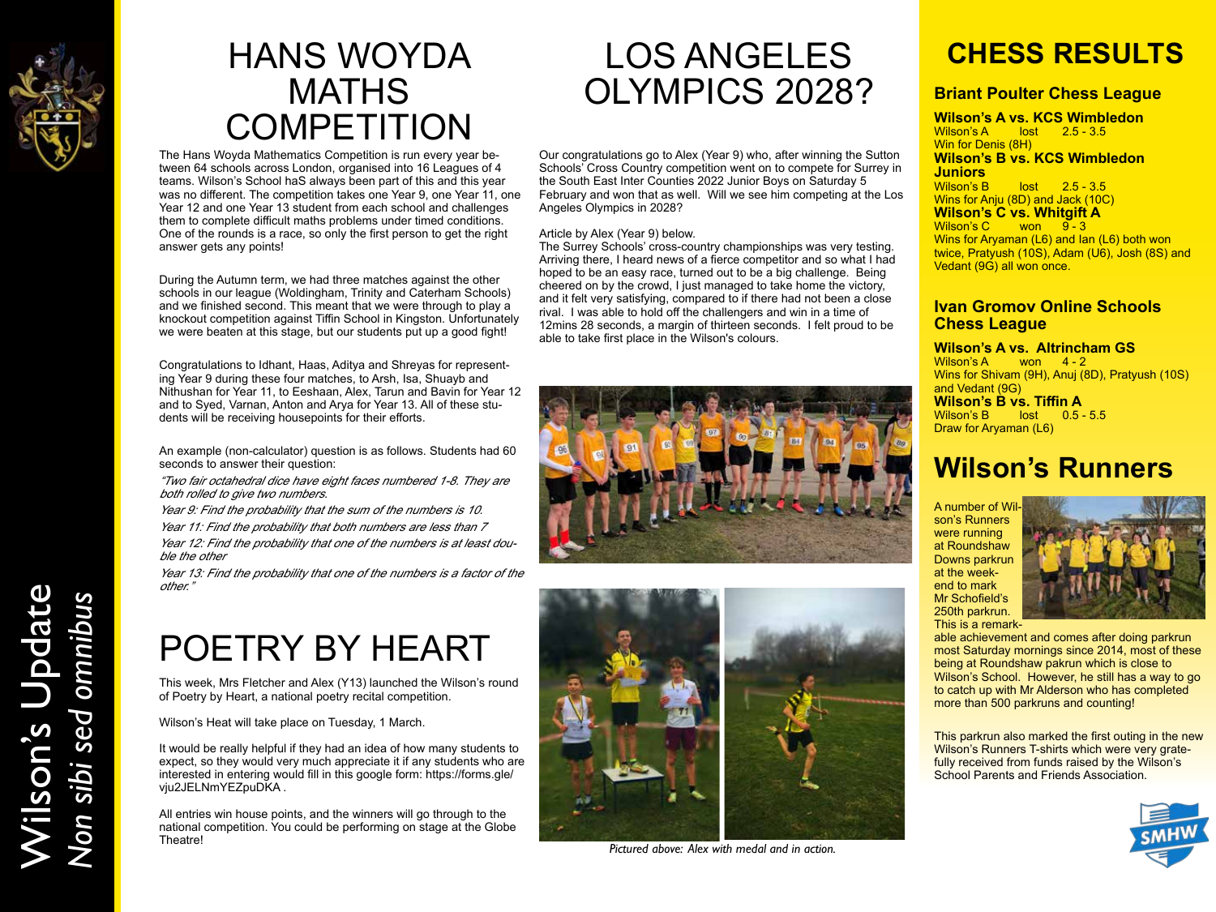

### HANS WOYDA **MATHS COMPETITION**

The Hans Woyda Mathematics Competition is run every year between 64 schools across London, organised into 16 Leagues of 4 teams. Wilson's School haS always been part of this and this year was no different. The competition takes one Year 9, one Year 11, one Year 12 and one Year 13 student from each school and challenges them to complete difficult maths problems under timed conditions. One of the rounds is a race, so only the first person to get the right answer gets any points!

During the Autumn term, we had three matches against the other schools in our league (Woldingham, Trinity and Caterham Schools) and we finished second. This meant that we were through to play a knockout competition against Tiffin School in Kingston. Unfortunately we were beaten at this stage, but our students put up a good fight!

Congratulations to Idhant, Haas, Aditya and Shreyas for representing Year 9 during these four matches, to Arsh, Isa, Shuayb and Nithushan for Year 11, to Eeshaan, Alex, Tarun and Bavin for Year 12 and to Syed, Varnan, Anton and Arya for Year 13. All of these students will be receiving housepoints for their efforts.

An example (non-calculator) question is as follows. Students had 60 seconds to answer their question:

"Two fair octahedral dice have eight faces numbered 1-8. They are both rolled to give two numbers.

Year 9: Find the probability that the sum of the numbers is 10.

Year 11: Find the probability that both numbers are less than 7

Year 12: Find the probability that one of the numbers is at least double the other

Year 13: Find the probability that one of the numbers is a factor of the other."

# POETRY BY HEART

This week, Mrs Fletcher and Alex (Y13) launched the Wilson's round of Poetry by Heart, a national poetry recital competition.

Wilson's Heat will take place on Tuesday, 1 March.

It would be really helpful if they had an idea of how many students to expect, so they would very much appreciate it if any students who are interested in entering would fill in this google form: https://forms.gle/ vju2JELNmYEZpuDKA .

All entries win house points, and the winners will go through to the national competition. You could be performing on stage at the Globe Theatre!

# LOS ANGELES OLYMPICS 2028?

Our congratulations go to Alex (Year 9) who, after winning the Sutton Schools' Cross Country competition went on to compete for Surrey in the South East Inter Counties 2022 Junior Boys on Saturday 5 February and won that as well. Will we see him competing at the Los Angeles Olympics in 2028?

#### Article by Alex (Year 9) below.

The Surrey Schools' cross-country championships was very testing. Arriving there, I heard news of a fierce competitor and so what I had hoped to be an easy race, turned out to be a big challenge. Being cheered on by the crowd, I just managed to take home the victory, and it felt very satisfying, compared to if there had not been a close rival. I was able to hold off the challengers and win in a time of 12mins 28 seconds, a margin of thirteen seconds. I felt proud to be able to take first place in the Wilson's colours.





*Pictured above: Alex with medal and in action.*

### **CHESS RESULTS**

### **Briant Poulter Chess League**

**Wilson's A vs. KCS Wimbledon** Wilson's A lost 2.5 - 3.5 Win for Denis (8H) **Wilson's B vs. KCS Wimbledon Juniors**  $lost 2.5 - 3.5$ Wins for Anju (8D) and Jack (10C) **Wilson's C vs. Whitgift A** Wilson's C won 9-3 Wins for Aryaman (L6) and Ian (L6) both won twice, Pratyush (10S), Adam (U6), Josh (8S) and

### **Ivan Gromov Online Schools Chess League**

#### **Wilson's A vs. Altrincham GS**

Wilson's A won 4 - 2 Wins for Shivam (9H), Anuj (8D), Pratyush (10S) and Vedant (9G) **Wilson's B vs. Tiffin A**<br>Wilson's B lost 0.5 - $\sqrt{0.5 - 5.5}$ 

Draw for Aryaman (L6)

Vedant (9G) all won once.

### **Wilson's Runners**

A number of Wilson's Runners were running at Roundshaw Downs parkrun at the weekend to mark Mr Schofield's 250th parkrun. This is a remark-



able achievement and comes after doing parkrun most Saturday mornings since 2014, most of these being at Roundshaw pakrun which is close to Wilson's School. However, he still has a way to go to catch up with Mr Alderson who has completed more than 500 parkruns and counting!

This parkrun also marked the first outing in the new Wilson's Runners T-shirts which were very gratefully received from funds raised by the Wilson's School Parents and Friends Association.



# Wilson's Update Wilson's Update<br>Non sibi sed omnibus *Non sibi sed omnibus* Non sibi